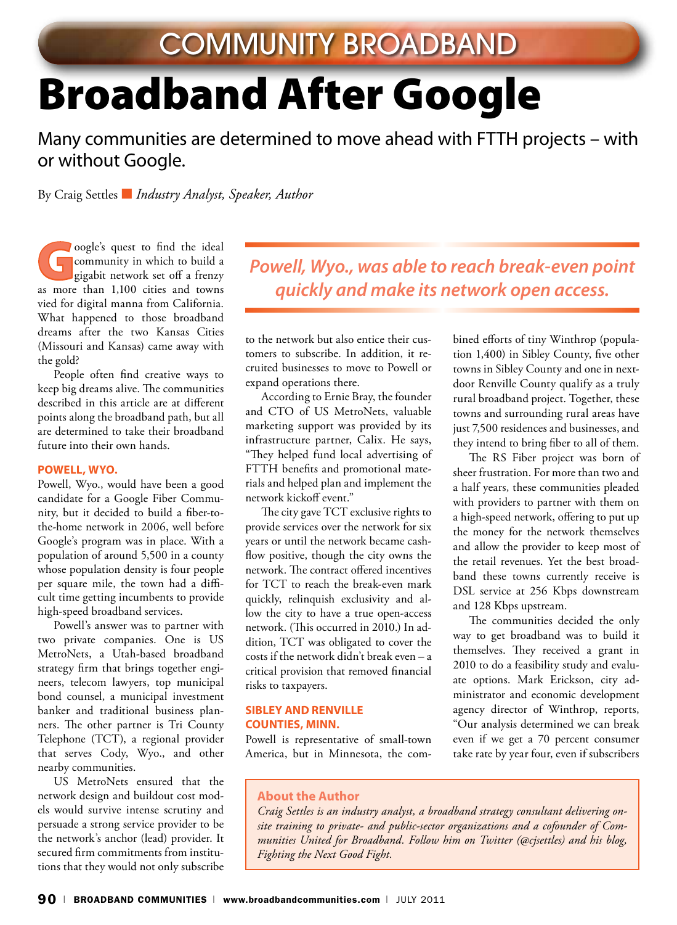# Broadband After Google

Many communities are determined to move ahead with FTTH projects – with or without Google.

By Craig Settles ■ *Industry Analyst, Speaker, Author*

oogle's quest to find the ideal community in which to build a gigabit network set off a frenzy as more than 1,100 cities and towns vied for digital manna from California. What happened to those broadband dreams after the two Kansas Cities (Missouri and Kansas) came away with the gold?

People often find creative ways to keep big dreams alive. The communities described in this article are at different points along the broadband path, but all are determined to take their broadband future into their own hands.

#### **Powell, Wyo.**

Powell, Wyo., would have been a good candidate for a Google Fiber Community, but it decided to build a fiber-tothe-home network in 2006, well before Google's program was in place. With a population of around 5,500 in a county whose population density is four people per square mile, the town had a difficult time getting incumbents to provide high-speed broadband services.

Powell's answer was to partner with two private companies. One is US MetroNets, a Utah-based broadband strategy firm that brings together engineers, telecom lawyers, top municipal bond counsel, a municipal investment banker and traditional business planners. The other partner is Tri County Telephone (TCT), a regional provider that serves Cody, Wyo., and other nearby communities.

US MetroNets ensured that the network design and buildout cost models would survive intense scrutiny and persuade a strong service provider to be the network's anchor (lead) provider. It secured firm commitments from institutions that they would not only subscribe *Powell, Wyo., was able to reach break-even point quickly and make its network open access.* 

to the network but also entice their customers to subscribe. In addition, it recruited businesses to move to Powell or expand operations there.

According to Ernie Bray, the founder and CTO of US MetroNets, valuable marketing support was provided by its infrastructure partner, Calix. He says, "They helped fund local advertising of FTTH benefits and promotional materials and helped plan and implement the network kickoff event."

The city gave TCT exclusive rights to provide services over the network for six years or until the network became cashflow positive, though the city owns the network. The contract offered incentives for TCT to reach the break-even mark quickly, relinquish exclusivity and allow the city to have a true open-access network. (This occurred in 2010.) In addition, TCT was obligated to cover the costs if the network didn't break even – a critical provision that removed financial risks to taxpayers.

#### **Sibley and Renville Counties, Minn.**

Powell is representative of small-town America, but in Minnesota, the combined efforts of tiny Winthrop (population 1,400) in Sibley County, five other towns in Sibley County and one in nextdoor Renville County qualify as a truly rural broadband project. Together, these towns and surrounding rural areas have just 7,500 residences and businesses, and they intend to bring fiber to all of them.

The RS Fiber project was born of sheer frustration. For more than two and a half years, these communities pleaded with providers to partner with them on a high-speed network, offering to put up the money for the network themselves and allow the provider to keep most of the retail revenues. Yet the best broadband these towns currently receive is DSL service at 256 Kbps downstream and 128 Kbps upstream.

The communities decided the only way to get broadband was to build it themselves. They received a grant in 2010 to do a feasibility study and evaluate options. Mark Erickson, city administrator and economic development agency director of Winthrop, reports, "Our analysis determined we can break even if we get a 70 percent consumer take rate by year four, even if subscribers

# **About the Author**

*Craig Settles is an industry analyst, a broadband strategy consultant delivering onsite training to private- and public-sector organizations and a cofounder of Communities United for Broadband. Follow him on Twitter (@cjsettles) and his blog, Fighting the Next Good Fight.*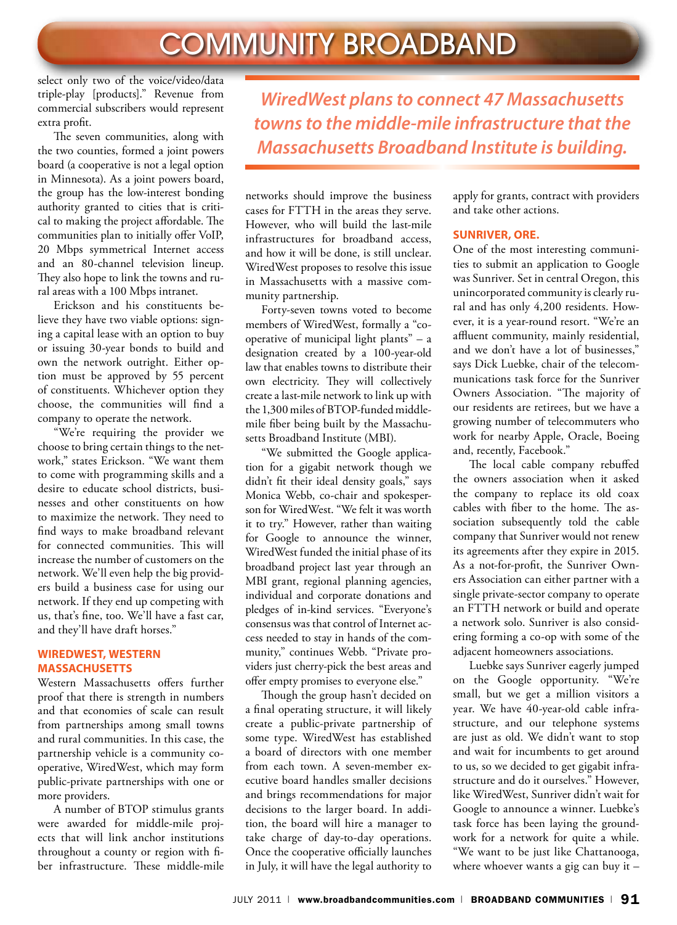select only two of the voice/video/data triple-play [products]." Revenue from commercial subscribers would represent extra profit.

The seven communities, along with the two counties, formed a joint powers board (a cooperative is not a legal option in Minnesota). As a joint powers board, the group has the low-interest bonding authority granted to cities that is critical to making the project affordable. The communities plan to initially offer VoIP, 20 Mbps symmetrical Internet access and an 80-channel television lineup. They also hope to link the towns and rural areas with a 100 Mbps intranet.

Erickson and his constituents believe they have two viable options: signing a capital lease with an option to buy or issuing 30-year bonds to build and own the network outright. Either option must be approved by 55 percent of constituents. Whichever option they choose, the communities will find a company to operate the network.

"We're requiring the provider we choose to bring certain things to the network," states Erickson. "We want them to come with programming skills and a desire to educate school districts, businesses and other constituents on how to maximize the network. They need to find ways to make broadband relevant for connected communities. This will increase the number of customers on the network. We'll even help the big providers build a business case for using our network. If they end up competing with us, that's fine, too. We'll have a fast car, and they'll have draft horses."

### **WiredWest, Western Massachusetts**

Western Massachusetts offers further proof that there is strength in numbers and that economies of scale can result from partnerships among small towns and rural communities. In this case, the partnership vehicle is a community cooperative, WiredWest, which may form public-private partnerships with one or more providers.

A number of BTOP stimulus grants were awarded for middle-mile projects that will link anchor institutions throughout a county or region with fiber infrastructure. These middle-mile

*WiredWest plans to connect 47 Massachusetts towns to the middle-mile infrastructure that the Massachusetts Broadband Institute is building.* 

networks should improve the business cases for FTTH in the areas they serve. However, who will build the last-mile infrastructures for broadband access, and how it will be done, is still unclear. WiredWest proposes to resolve this issue in Massachusetts with a massive community partnership.

Forty-seven towns voted to become members of WiredWest, formally a "cooperative of municipal light plants" – a designation created by a 100-year-old law that enables towns to distribute their own electricity. They will collectively create a last-mile network to link up with the 1,300 miles of BTOP-funded middlemile fiber being built by the Massachusetts Broadband Institute (MBI).

"We submitted the Google application for a gigabit network though we didn't fit their ideal density goals," says Monica Webb, co-chair and spokesperson for WiredWest. "We felt it was worth it to try." However, rather than waiting for Google to announce the winner, WiredWest funded the initial phase of its broadband project last year through an MBI grant, regional planning agencies, individual and corporate donations and pledges of in-kind services. "Everyone's consensus was that control of Internet access needed to stay in hands of the community," continues Webb. "Private providers just cherry-pick the best areas and offer empty promises to everyone else."

Though the group hasn't decided on a final operating structure, it will likely create a public-private partnership of some type. WiredWest has established a board of directors with one member from each town. A seven-member executive board handles smaller decisions and brings recommendations for major decisions to the larger board. In addition, the board will hire a manager to take charge of day-to-day operations. Once the cooperative officially launches in July, it will have the legal authority to

apply for grants, contract with providers and take other actions.

# **Sunriver, Ore.**

One of the most interesting communities to submit an application to Google was Sunriver. Set in central Oregon, this unincorporated community is clearly rural and has only 4,200 residents. However, it is a year-round resort. "We're an affluent community, mainly residential, and we don't have a lot of businesses," says Dick Luebke, chair of the telecommunications task force for the Sunriver Owners Association. "The majority of our residents are retirees, but we have a growing number of telecommuters who work for nearby Apple, Oracle, Boeing and, recently, Facebook."

The local cable company rebuffed the owners association when it asked the company to replace its old coax cables with fiber to the home. The association subsequently told the cable company that Sunriver would not renew its agreements after they expire in 2015. As a not-for-profit, the Sunriver Owners Association can either partner with a single private-sector company to operate an FTTH network or build and operate a network solo. Sunriver is also considering forming a co-op with some of the adjacent homeowners associations.

Luebke says Sunriver eagerly jumped on the Google opportunity. "We're small, but we get a million visitors a year. We have 40-year-old cable infrastructure, and our telephone systems are just as old. We didn't want to stop and wait for incumbents to get around to us, so we decided to get gigabit infrastructure and do it ourselves." However, like WiredWest, Sunriver didn't wait for Google to announce a winner. Luebke's task force has been laying the groundwork for a network for quite a while. "We want to be just like Chattanooga, where whoever wants a gig can buy it –